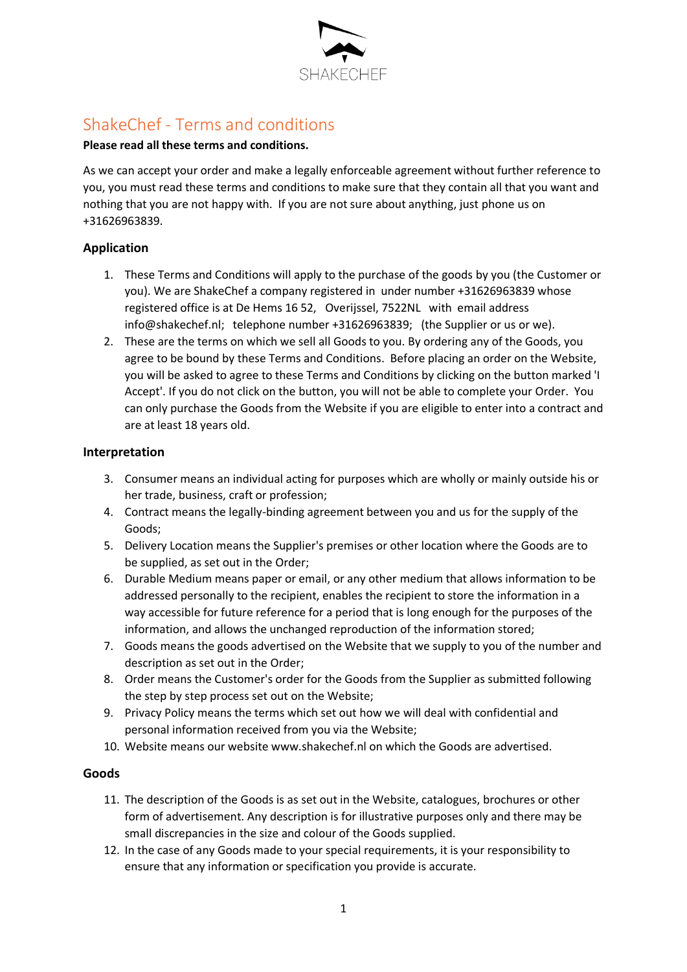

# ShakeChef - Terms and conditions

## **Please read all these terms and conditions.**

As we can accept your order and make a legally enforceable agreement without further reference to you, you must read these terms and conditions to make sure that they contain all that you want and nothing that you are not happy with. If you are not sure about anything, just phone us on +31626963839.

## **Application**

- 1. These Terms and Conditions will apply to the purchase of the goods by you (the Customer or you). We are ShakeChef a company registered in under number +31626963839 whose registered office is at De Hems 16 52, Overijssel, 7522NL with email address info@shakechef.nl; telephone number +31626963839; (the Supplier or us or we).
- 2. These are the terms on which we sell all Goods to you. By ordering any of the Goods, you agree to be bound by these Terms and Conditions. Before placing an order on the Website, you will be asked to agree to these Terms and Conditions by clicking on the button marked 'I Accept'. If you do not click on the button, you will not be able to complete your Order. You can only purchase the Goods from the Website if you are eligible to enter into a contract and are at least 18 years old.

## **Interpretation**

- 3. Consumer means an individual acting for purposes which are wholly or mainly outside his or her trade, business, craft or profession;
- 4. Contract means the legally-binding agreement between you and us for the supply of the Goods;
- 5. Delivery Location means the Supplier's premises or other location where the Goods are to be supplied, as set out in the Order;
- 6. Durable Medium means paper or email, or any other medium that allows information to be addressed personally to the recipient, enables the recipient to store the information in a way accessible for future reference for a period that is long enough for the purposes of the information, and allows the unchanged reproduction of the information stored;
- 7. Goods means the goods advertised on the Website that we supply to you of the number and description as set out in the Order;
- 8. Order means the Customer's order for the Goods from the Supplier as submitted following the step by step process set out on the Website;
- 9. Privacy Policy means the terms which set out how we will deal with confidential and personal information received from you via the Website;
- 10. Website means our website www.shakechef.nl on which the Goods are advertised.

## **Goods**

- 11. The description of the Goods is as set out in the Website, catalogues, brochures or other form of advertisement. Any description is for illustrative purposes only and there may be small discrepancies in the size and colour of the Goods supplied.
- 12. In the case of any Goods made to your special requirements, it is your responsibility to ensure that any information or specification you provide is accurate.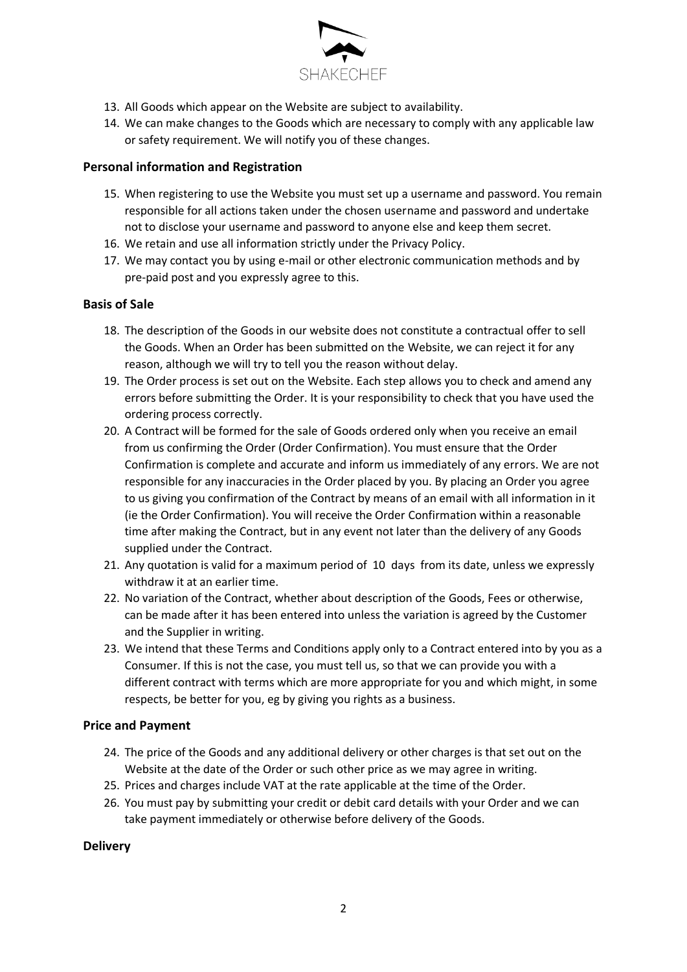

- 13. All Goods which appear on the Website are subject to availability.
- 14. We can make changes to the Goods which are necessary to comply with any applicable law or safety requirement. We will notify you of these changes.

#### **Personal information and Registration**

- 15. When registering to use the Website you must set up a username and password. You remain responsible for all actions taken under the chosen username and password and undertake not to disclose your username and password to anyone else and keep them secret.
- 16. We retain and use all information strictly under the Privacy Policy.
- 17. We may contact you by using e-mail or other electronic communication methods and by pre-paid post and you expressly agree to this.

#### **Basis of Sale**

- 18. The description of the Goods in our website does not constitute a contractual offer to sell the Goods. When an Order has been submitted on the Website, we can reject it for any reason, although we will try to tell you the reason without delay.
- 19. The Order process is set out on the Website. Each step allows you to check and amend any errors before submitting the Order. It is your responsibility to check that you have used the ordering process correctly.
- 20. A Contract will be formed for the sale of Goods ordered only when you receive an email from us confirming the Order (Order Confirmation). You must ensure that the Order Confirmation is complete and accurate and inform us immediately of any errors. We are not responsible for any inaccuracies in the Order placed by you. By placing an Order you agree to us giving you confirmation of the Contract by means of an email with all information in it (ie the Order Confirmation). You will receive the Order Confirmation within a reasonable time after making the Contract, but in any event not later than the delivery of any Goods supplied under the Contract.
- 21. Any quotation is valid for a maximum period of 10 days from its date, unless we expressly withdraw it at an earlier time.
- 22. No variation of the Contract, whether about description of the Goods, Fees or otherwise, can be made after it has been entered into unless the variation is agreed by the Customer and the Supplier in writing.
- 23. We intend that these Terms and Conditions apply only to a Contract entered into by you as a Consumer. If this is not the case, you must tell us, so that we can provide you with a different contract with terms which are more appropriate for you and which might, in some respects, be better for you, eg by giving you rights as a business.

#### **Price and Payment**

- 24. The price of the Goods and any additional delivery or other charges is that set out on the Website at the date of the Order or such other price as we may agree in writing.
- 25. Prices and charges include VAT at the rate applicable at the time of the Order.
- 26. You must pay by submitting your credit or debit card details with your Order and we can take payment immediately or otherwise before delivery of the Goods.

#### **Delivery**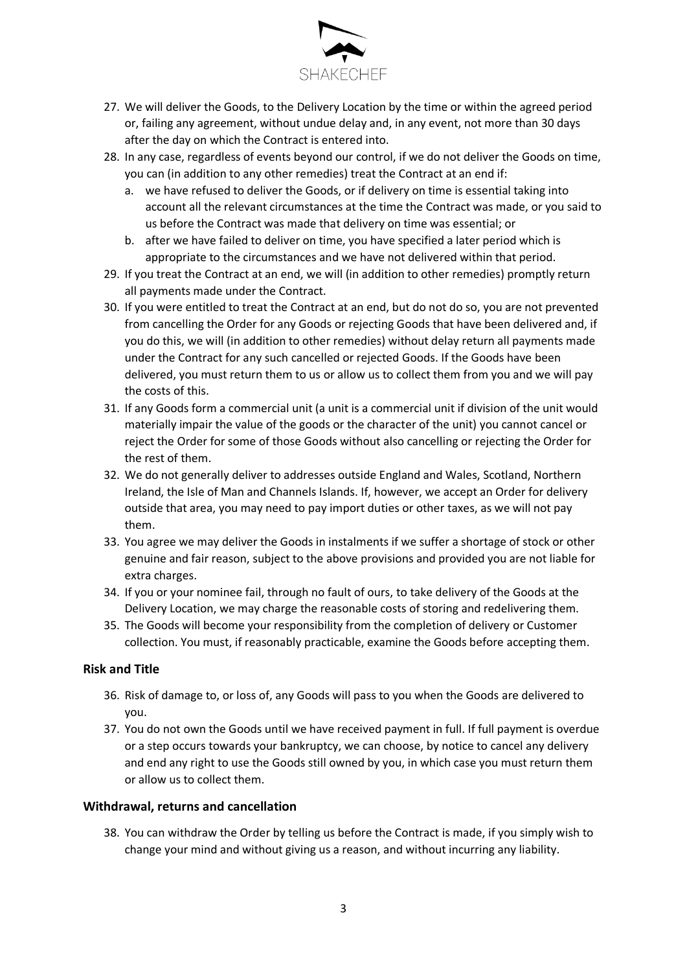

- 27. We will deliver the Goods, to the Delivery Location by the time or within the agreed period or, failing any agreement, without undue delay and, in any event, not more than 30 days after the day on which the Contract is entered into.
- 28. In any case, regardless of events beyond our control, if we do not deliver the Goods on time, you can (in addition to any other remedies) treat the Contract at an end if:
	- a. we have refused to deliver the Goods, or if delivery on time is essential taking into account all the relevant circumstances at the time the Contract was made, or you said to us before the Contract was made that delivery on time was essential; or
	- b. after we have failed to deliver on time, you have specified a later period which is appropriate to the circumstances and we have not delivered within that period.
- 29. If you treat the Contract at an end, we will (in addition to other remedies) promptly return all payments made under the Contract.
- 30. If you were entitled to treat the Contract at an end, but do not do so, you are not prevented from cancelling the Order for any Goods or rejecting Goods that have been delivered and, if you do this, we will (in addition to other remedies) without delay return all payments made under the Contract for any such cancelled or rejected Goods. If the Goods have been delivered, you must return them to us or allow us to collect them from you and we will pay the costs of this.
- 31. If any Goods form a commercial unit (a unit is a commercial unit if division of the unit would materially impair the value of the goods or the character of the unit) you cannot cancel or reject the Order for some of those Goods without also cancelling or rejecting the Order for the rest of them.
- 32. We do not generally deliver to addresses outside England and Wales, Scotland, Northern Ireland, the Isle of Man and Channels Islands. If, however, we accept an Order for delivery outside that area, you may need to pay import duties or other taxes, as we will not pay them.
- 33. You agree we may deliver the Goods in instalments if we suffer a shortage of stock or other genuine and fair reason, subject to the above provisions and provided you are not liable for extra charges.
- 34. If you or your nominee fail, through no fault of ours, to take delivery of the Goods at the Delivery Location, we may charge the reasonable costs of storing and redelivering them.
- 35. The Goods will become your responsibility from the completion of delivery or Customer collection. You must, if reasonably practicable, examine the Goods before accepting them.

## **Risk and Title**

- 36. Risk of damage to, or loss of, any Goods will pass to you when the Goods are delivered to you.
- 37. You do not own the Goods until we have received payment in full. If full payment is overdue or a step occurs towards your bankruptcy, we can choose, by notice to cancel any delivery and end any right to use the Goods still owned by you, in which case you must return them or allow us to collect them.

#### **Withdrawal, returns and cancellation**

38. You can withdraw the Order by telling us before the Contract is made, if you simply wish to change your mind and without giving us a reason, and without incurring any liability.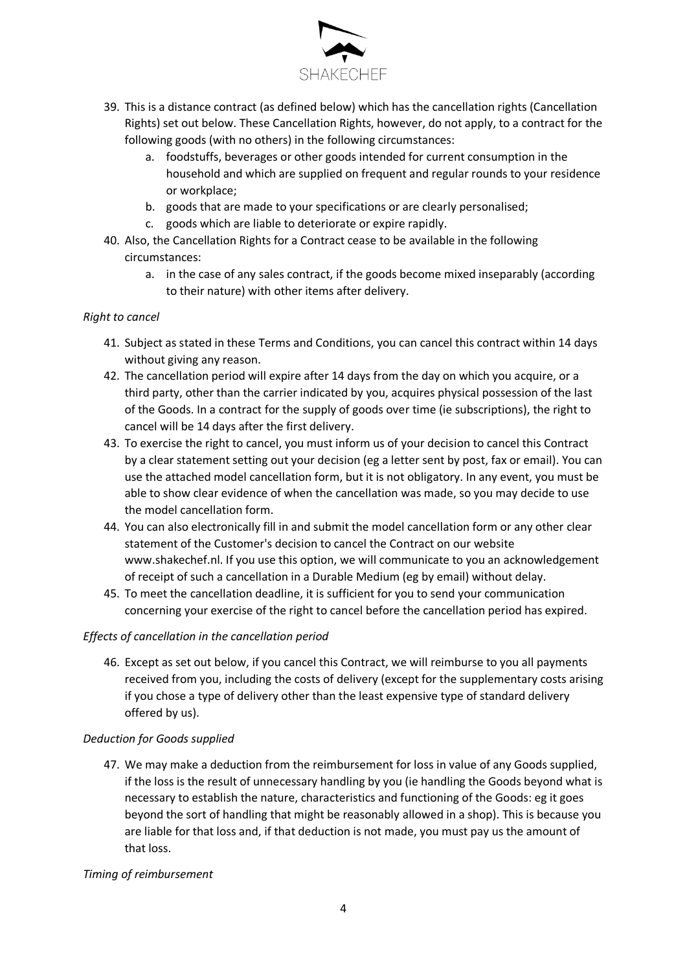

- 39. This is a distance contract (as defined below) which has the cancellation rights (Cancellation Rights) set out below. These Cancellation Rights, however, do not apply, to a contract for the following goods (with no others) in the following circumstances:
	- a. foodstuffs, beverages or other goods intended for current consumption in the household and which are supplied on frequent and regular rounds to your residence or workplace;
	- b. goods that are made to your specifications or are clearly personalised;
	- c. goods which are liable to deteriorate or expire rapidly.
- 40. Also, the Cancellation Rights for a Contract cease to be available in the following circumstances:
	- a. in the case of any sales contract, if the goods become mixed inseparably (according to their nature) with other items after delivery.

#### *Right to cancel*

- 41. Subject as stated in these Terms and Conditions, you can cancel this contract within 14 days without giving any reason.
- 42. The cancellation period will expire after 14 days from the day on which you acquire, or a third party, other than the carrier indicated by you, acquires physical possession of the last of the Goods. In a contract for the supply of goods over time (ie subscriptions), the right to cancel will be 14 days after the first delivery.
- 43. To exercise the right to cancel, you must inform us of your decision to cancel this Contract by a clear statement setting out your decision (eg a letter sent by post, fax or email). You can use the attached model cancellation form, but it is not obligatory. In any event, you must be able to show clear evidence of when the cancellation was made, so you may decide to use the model cancellation form.
- 44. You can also electronically fill in and submit the model cancellation form or any other clear statement of the Customer's decision to cancel the Contract on our website www.shakechef.nl. If you use this option, we will communicate to you an acknowledgement of receipt of such a cancellation in a Durable Medium (eg by email) without delay.
- 45. To meet the cancellation deadline, it is sufficient for you to send your communication concerning your exercise of the right to cancel before the cancellation period has expired.

#### *Effects of cancellation in the cancellation period*

46. Except as set out below, if you cancel this Contract, we will reimburse to you all payments received from you, including the costs of delivery (except for the supplementary costs arising if you chose a type of delivery other than the least expensive type of standard delivery offered by us).

#### *Deduction for Goods supplied*

47. We may make a deduction from the reimbursement for loss in value of any Goods supplied, if the loss is the result of unnecessary handling by you (ie handling the Goods beyond what is necessary to establish the nature, characteristics and functioning of the Goods: eg it goes beyond the sort of handling that might be reasonably allowed in a shop). This is because you are liable for that loss and, if that deduction is not made, you must pay us the amount of that loss.

#### *Timing of reimbursement*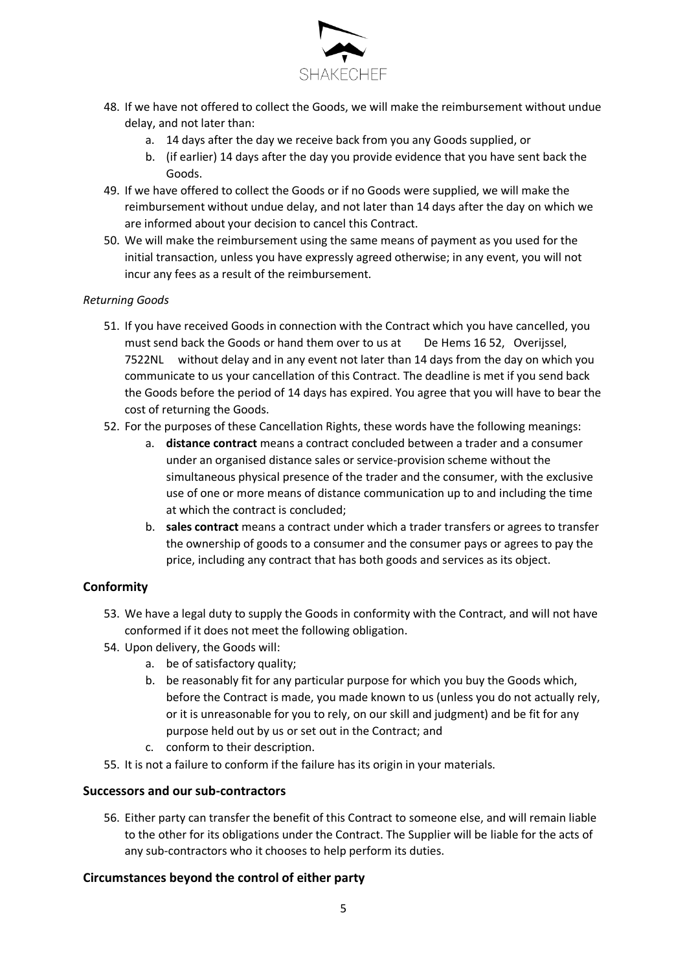

- 48. If we have not offered to collect the Goods, we will make the reimbursement without undue delay, and not later than:
	- a. 14 days after the day we receive back from you any Goods supplied, or
	- b. (if earlier) 14 days after the day you provide evidence that you have sent back the Goods.
- 49. If we have offered to collect the Goods or if no Goods were supplied, we will make the reimbursement without undue delay, and not later than 14 days after the day on which we are informed about your decision to cancel this Contract.
- 50. We will make the reimbursement using the same means of payment as you used for the initial transaction, unless you have expressly agreed otherwise; in any event, you will not incur any fees as a result of the reimbursement.

#### *Returning Goods*

- 51. If you have received Goods in connection with the Contract which you have cancelled, you must send back the Goods or hand them over to us at De Hems 16 52, Overijssel, 7522NL without delay and in any event not later than 14 days from the day on which you communicate to us your cancellation of this Contract. The deadline is met if you send back the Goods before the period of 14 days has expired. You agree that you will have to bear the cost of returning the Goods.
- 52. For the purposes of these Cancellation Rights, these words have the following meanings:
	- a. **distance contract** means a contract concluded between a trader and a consumer under an organised distance sales or service-provision scheme without the simultaneous physical presence of the trader and the consumer, with the exclusive use of one or more means of distance communication up to and including the time at which the contract is concluded;
	- b. **sales contract** means a contract under which a trader transfers or agrees to transfer the ownership of goods to a consumer and the consumer pays or agrees to pay the price, including any contract that has both goods and services as its object.

## **Conformity**

- 53. We have a legal duty to supply the Goods in conformity with the Contract, and will not have conformed if it does not meet the following obligation.
- 54. Upon delivery, the Goods will:
	- a. be of satisfactory quality;
	- b. be reasonably fit for any particular purpose for which you buy the Goods which, before the Contract is made, you made known to us (unless you do not actually rely, or it is unreasonable for you to rely, on our skill and judgment) and be fit for any purpose held out by us or set out in the Contract; and
	- c. conform to their description.
- 55. It is not a failure to conform if the failure has its origin in your materials.

#### **Successors and our sub-contractors**

56. Either party can transfer the benefit of this Contract to someone else, and will remain liable to the other for its obligations under the Contract. The Supplier will be liable for the acts of any sub-contractors who it chooses to help perform its duties.

## **Circumstances beyond the control of either party**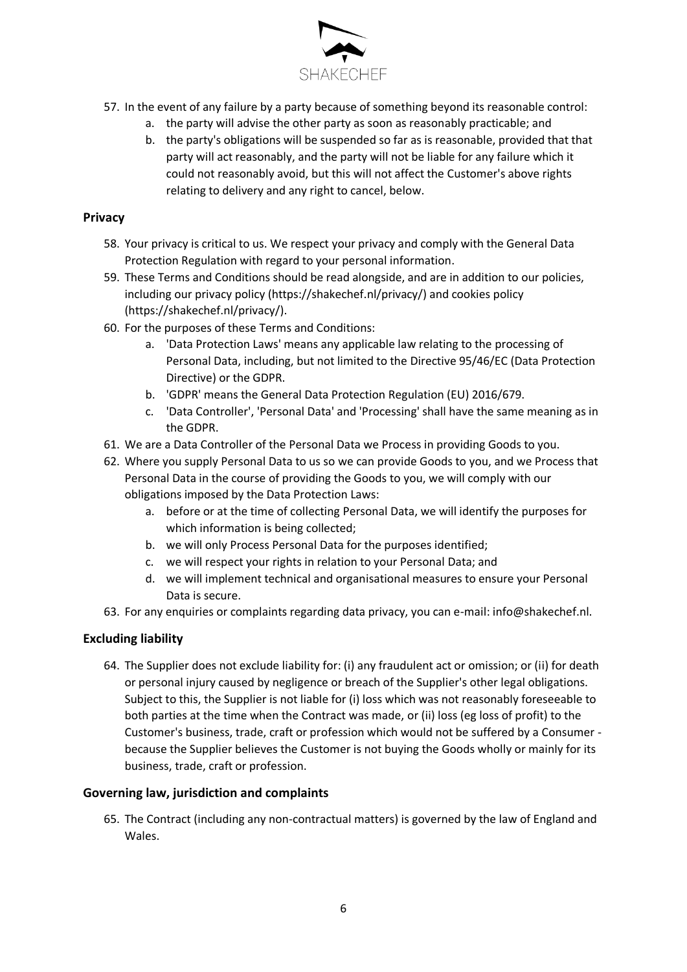

- 57. In the event of any failure by a party because of something beyond its reasonable control:
	- a. the party will advise the other party as soon as reasonably practicable; and
	- b. the party's obligations will be suspended so far as is reasonable, provided that that party will act reasonably, and the party will not be liable for any failure which it could not reasonably avoid, but this will not affect the Customer's above rights relating to delivery and any right to cancel, below.

#### **Privacy**

- 58. Your privacy is critical to us. We respect your privacy and comply with the General Data Protection Regulation with regard to your personal information.
- 59. These Terms and Conditions should be read alongside, and are in addition to our policies, including our privacy policy (https://shakechef.nl/privacy/) and cookies policy (https://shakechef.nl/privacy/).
- 60. For the purposes of these Terms and Conditions:
	- a. 'Data Protection Laws' means any applicable law relating to the processing of Personal Data, including, but not limited to the Directive 95/46/EC (Data Protection Directive) or the GDPR.
	- b. 'GDPR' means the General Data Protection Regulation (EU) 2016/679.
	- c. 'Data Controller', 'Personal Data' and 'Processing' shall have the same meaning as in the GDPR.
- 61. We are a Data Controller of the Personal Data we Process in providing Goods to you.
- 62. Where you supply Personal Data to us so we can provide Goods to you, and we Process that Personal Data in the course of providing the Goods to you, we will comply with our obligations imposed by the Data Protection Laws:
	- a. before or at the time of collecting Personal Data, we will identify the purposes for which information is being collected;
	- b. we will only Process Personal Data for the purposes identified;
	- c. we will respect your rights in relation to your Personal Data; and
	- d. we will implement technical and organisational measures to ensure your Personal Data is secure.
- 63. For any enquiries or complaints regarding data privacy, you can e-mail: info@shakechef.nl.

## **Excluding liability**

64. The Supplier does not exclude liability for: (i) any fraudulent act or omission; or (ii) for death or personal injury caused by negligence or breach of the Supplier's other legal obligations. Subject to this, the Supplier is not liable for (i) loss which was not reasonably foreseeable to both parties at the time when the Contract was made, or (ii) loss (eg loss of profit) to the Customer's business, trade, craft or profession which would not be suffered by a Consumer because the Supplier believes the Customer is not buying the Goods wholly or mainly for its business, trade, craft or profession.

#### **Governing law, jurisdiction and complaints**

65. The Contract (including any non-contractual matters) is governed by the law of England and Wales.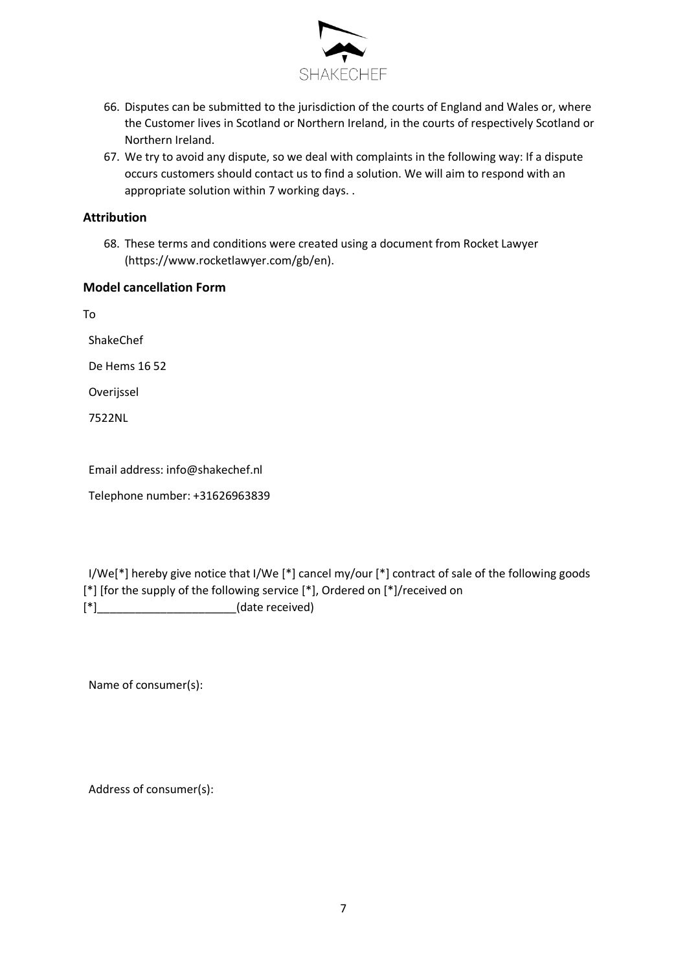

- 66. Disputes can be submitted to the jurisdiction of the courts of England and Wales or, where the Customer lives in Scotland or Northern Ireland, in the courts of respectively Scotland or Northern Ireland.
- 67. We try to avoid any dispute, so we deal with complaints in the following way: If a dispute occurs customers should contact us to find a solution. We will aim to respond with an appropriate solution within 7 working days. .

#### **Attribution**

68. These terms and conditions were created using a document from Rocket Lawyer (https://www.rocketlawyer.com/gb/en).

#### **Model cancellation Form**

To

ShakeChef

De Hems 16 52

Overijssel

7522NL

Email address: info@shakechef.nl

Telephone number: +31626963839

I/We[\*] hereby give notice that I/We [\*] cancel my/our [\*] contract of sale of the following goods [\*] [for the supply of the following service [\*], Ordered on [\*]/received on [\*]\_\_\_\_\_\_\_\_\_\_\_\_\_\_\_\_\_\_\_\_\_\_(date received)

Name of consumer(s):

Address of consumer(s):